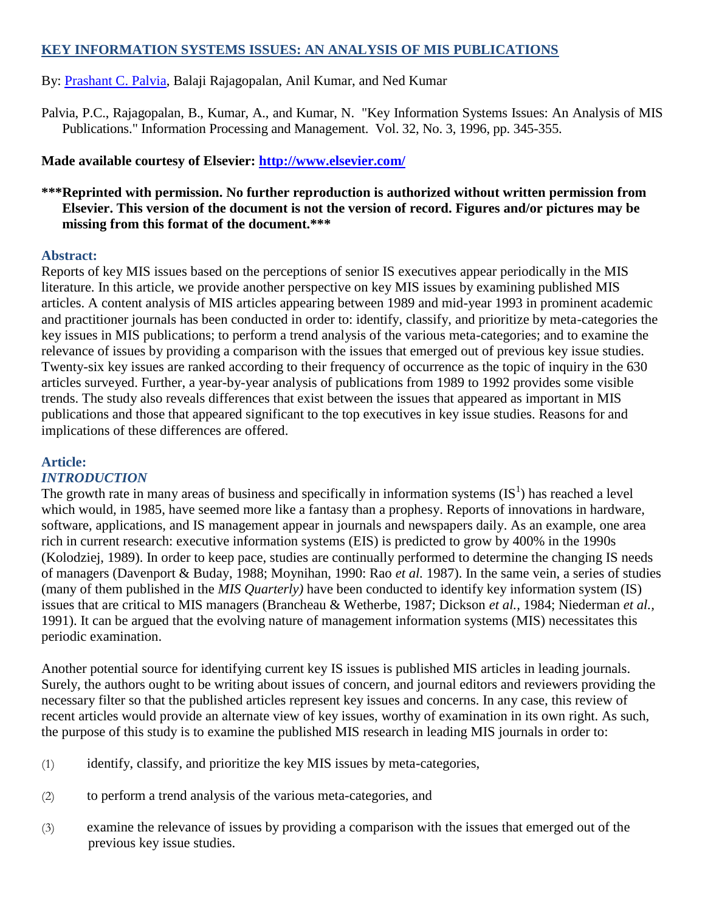# **KEY INFORMATION SYSTEMS ISSUES: AN ANALYSIS OF MIS PUBLICATIONS**

# By: [Prashant C. Palvia,](http://libres.uncg.edu/ir/uncg/clist.aspx?id=814) Balaji Rajagopalan, Anil Kumar, and Ned Kumar

Palvia, P.C., Rajagopalan, B., Kumar, A., and Kumar, N. "Key Information Systems Issues: An Analysis of MIS Publications." Information Processing and Management. Vol. 32, No. 3, 1996, pp. 345-355.

# **Made available courtesy of Elsevier:<http://www.elsevier.com/>**

# **\*\*\*Reprinted with permission. No further reproduction is authorized without written permission from Elsevier. This version of the document is not the version of record. Figures and/or pictures may be missing from this format of the document.\*\*\***

#### **Abstract:**

Reports of key MIS issues based on the perceptions of senior IS executives appear periodically in the MIS literature. In this article, we provide another perspective on key MIS issues by examining published MIS articles. A content analysis of MIS articles appearing between 1989 and mid-year 1993 in prominent academic and practitioner journals has been conducted in order to: identify, classify, and prioritize by meta-categories the key issues in MIS publications; to perform a trend analysis of the various meta-categories; and to examine the relevance of issues by providing a comparison with the issues that emerged out of previous key issue studies. Twenty-six key issues are ranked according to their frequency of occurrence as the topic of inquiry in the 630 articles surveyed. Further, a year-by-year analysis of publications from 1989 to 1992 provides some visible trends. The study also reveals differences that exist between the issues that appeared as important in MIS publications and those that appeared significant to the top executives in key issue studies. Reasons for and implications of these differences are offered.

## **Article:**

## *INTRODUCTION*

The growth rate in many areas of business and specifically in information systems  $(IS<sup>1</sup>)$  has reached a level which would, in 1985, have seemed more like a fantasy than a prophesy. Reports of innovations in hardware, software, applications, and IS management appear in journals and newspapers daily. As an example, one area rich in current research: executive information systems (EIS) is predicted to grow by 400% in the 1990s (Kolodziej, 1989). In order to keep pace, studies are continually performed to determine the changing IS needs of managers (Davenport & Buday, 1988; Moynihan, 1990: Rao *et al.* 1987). In the same vein, a series of studies (many of them published in the *MIS Quarterly)* have been conducted to identify key information system (IS) issues that are critical to MIS managers (Brancheau & Wetherbe, 1987; Dickson *et al.,* 1984; Niederman *et al.,*  1991). It can be argued that the evolving nature of management information systems (MIS) necessitates this periodic examination.

Another potential source for identifying current key IS issues is published MIS articles in leading journals. Surely, the authors ought to be writing about issues of concern, and journal editors and reviewers providing the necessary filter so that the published articles represent key issues and concerns. In any case, this review of recent articles would provide an alternate view of key issues, worthy of examination in its own right. As such, the purpose of this study is to examine the published MIS research in leading MIS journals in order to:

- (1) identify, classify, and prioritize the key MIS issues by meta-categories,
- (2) to perform a trend analysis of the various meta-categories, and
- (3) examine the relevance of issues by providing a comparison with the issues that emerged out of the previous key issue studies.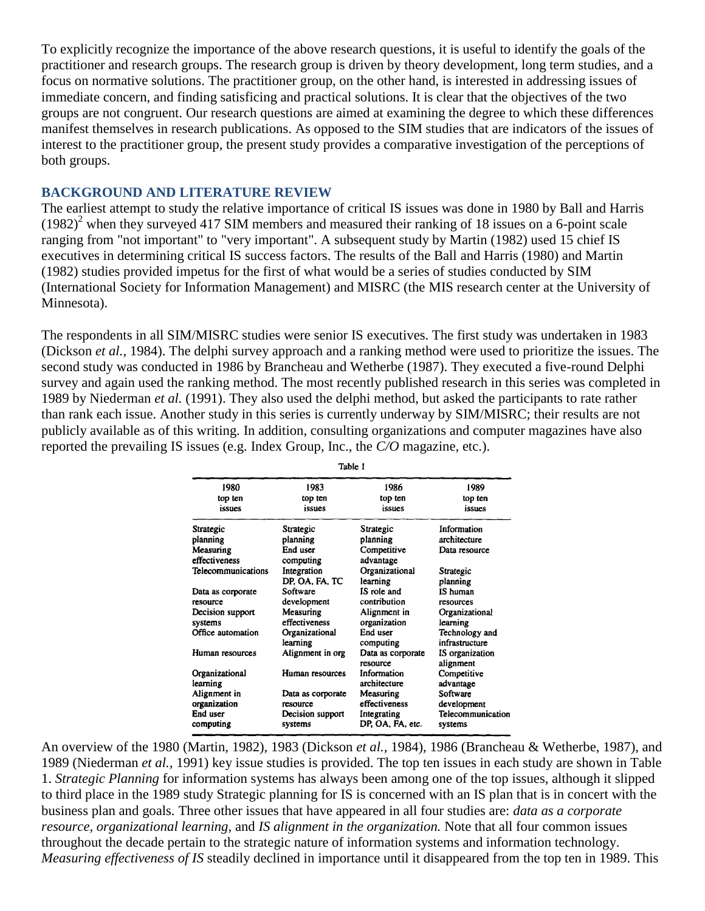To explicitly recognize the importance of the above research questions, it is useful to identify the goals of the practitioner and research groups. The research group is driven by theory development, long term studies, and a focus on normative solutions. The practitioner group, on the other hand, is interested in addressing issues of immediate concern, and finding satisficing and practical solutions. It is clear that the objectives of the two groups are not congruent. Our research questions are aimed at examining the degree to which these differences manifest themselves in research publications. As opposed to the SIM studies that are indicators of the issues of interest to the practitioner group, the present study provides a comparative investigation of the perceptions of both groups.

#### **BACKGROUND AND LITERATURE REVIEW**

The earliest attempt to study the relative importance of critical IS issues was done in 1980 by Ball and Harris  $(1982)^2$  when they surveyed 417 SIM members and measured their ranking of 18 issues on a 6-point scale ranging from "not important" to "very important". A subsequent study by Martin (1982) used 15 chief IS executives in determining critical IS success factors. The results of the Ball and Harris (1980) and Martin (1982) studies provided impetus for the first of what would be a series of studies conducted by SIM (International Society for Information Management) and MISRC (the MIS research center at the University of Minnesota).

The respondents in all SIM/MISRC studies were senior IS executives. The first study was undertaken in 1983 (Dickson *et al.,* 1984). The delphi survey approach and a ranking method were used to prioritize the issues. The second study was conducted in 1986 by Brancheau and Wetherbe (1987). They executed a five-round Delphi survey and again used the ranking method. The most recently published research in this series was completed in 1989 by Niederman *et al.* (1991). They also used the delphi method, but asked the participants to rate rather than rank each issue. Another study in this series is currently underway by SIM/MISRC; their results are not publicly available as of this writing. In addition, consulting organizations and computer magazines have also reported the prevailing IS issues (e.g. Index Group, Inc., the *C/O* magazine, etc.).

| 1980                  | 1983                        | 1986                            | 1989                         |
|-----------------------|-----------------------------|---------------------------------|------------------------------|
| top ten               | top ten                     | top ten                         | top ten                      |
| issues                | issues                      | issues                          | issues                       |
| Strategic             | Strategic                   | Strategic                       | Information                  |
| planning              | planning                    | planning                        | architecture                 |
| Measuring             | End user                    | Competitive                     | Data resource                |
| effectiveness         | computing                   | advantage                       |                              |
| Telecommunications    | Integration                 | Organizational                  | Strategic                    |
|                       | DP. OA. FA. TC              | learning                        | planning                     |
| Data as corporate     | Software                    | IS role and                     | IS human                     |
| resource              | development                 | contribution                    | resources                    |
| Decision support      | Measuring                   | Alignment in                    | Organizational               |
| systems               | effectiveness               | organization                    | learning                     |
| Office automation     | Organizational              | End user                        | Technology and               |
|                       | learning                    | computing                       | infrastructure               |
| Human resources       | Alignment in org            | Data as corporate<br>resource   | IS organization<br>alignment |
| Organizational        | Human resources             | Information                     | Competitive                  |
| learning              |                             | architecture                    | advantage                    |
| Alignment in          | Data as corporate           | Measuring                       | Software                     |
| organization          | resource                    | effectiveness                   | development                  |
| End user<br>computing | Decision support<br>systems | Integrating<br>DP. OA, FA, etc. | Telecommunication<br>systems |

Table 1

An overview of the 1980 (Martin, 1982), 1983 (Dickson *et al.,* 1984), 1986 (Brancheau & Wetherbe, 1987), and 1989 (Niederman *et al.,* 1991) key issue studies is provided. The top ten issues in each study are shown in Table 1. *Strategic Planning* for information systems has always been among one of the top issues, although it slipped to third place in the 1989 study Strategic planning for IS is concerned with an IS plan that is in concert with the business plan and goals. Three other issues that have appeared in all four studies are: *data as a corporate resource, organizational learning,* and *IS alignment in the organization.* Note that all four common issues throughout the decade pertain to the strategic nature of information systems and information technology. *Measuring effectiveness of IS* steadily declined in importance until it disappeared from the top ten in 1989. This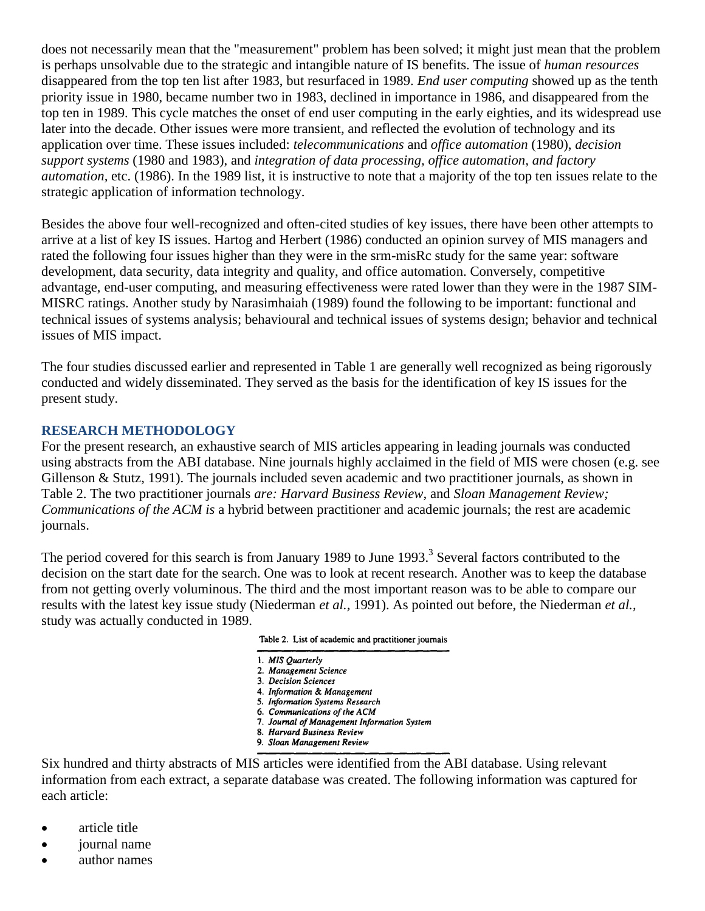does not necessarily mean that the "measurement" problem has been solved; it might just mean that the problem is perhaps unsolvable due to the strategic and intangible nature of IS benefits. The issue of *human resources*  disappeared from the top ten list after 1983, but resurfaced in 1989. *End user computing* showed up as the tenth priority issue in 1980, became number two in 1983, declined in importance in 1986, and disappeared from the top ten in 1989. This cycle matches the onset of end user computing in the early eighties, and its widespread use later into the decade. Other issues were more transient, and reflected the evolution of technology and its application over time. These issues included: *telecommunications* and *office automation* (1980), *decision support systems* (1980 and 1983), and *integration of data processing, office automation, and factory automation,* etc. (1986). In the 1989 list, it is instructive to note that a majority of the top ten issues relate to the strategic application of information technology.

Besides the above four well-recognized and often-cited studies of key issues, there have been other attempts to arrive at a list of key IS issues. Hartog and Herbert (1986) conducted an opinion survey of MIS managers and rated the following four issues higher than they were in the srm-misRc study for the same year: software development, data security, data integrity and quality, and office automation. Conversely, competitive advantage, end-user computing, and measuring effectiveness were rated lower than they were in the 1987 SIM-MISRC ratings. Another study by Narasimhaiah (1989) found the following to be important: functional and technical issues of systems analysis; behavioural and technical issues of systems design; behavior and technical issues of MIS impact.

The four studies discussed earlier and represented in Table 1 are generally well recognized as being rigorously conducted and widely disseminated. They served as the basis for the identification of key IS issues for the present study.

### **RESEARCH METHODOLOGY**

For the present research, an exhaustive search of MIS articles appearing in leading journals was conducted using abstracts from the ABI database. Nine journals highly acclaimed in the field of MIS were chosen (e.g. see Gillenson & Stutz, 1991). The journals included seven academic and two practitioner journals, as shown in Table 2. The two practitioner journals *are: Harvard Business Review,* and *Sloan Management Review; Communications of the ACM is* a hybrid between practitioner and academic journals; the rest are academic journals.

The period covered for this search is from January 1989 to June 1993.<sup>3</sup> Several factors contributed to the decision on the start date for the search. One was to look at recent research. Another was to keep the database from not getting overly voluminous. The third and the most important reason was to be able to compare our results with the latest key issue study (Niederman *et al.,* 1991). As pointed out before, the Niederman *et al.,*  study was actually conducted in 1989.

|  |  |  |  | Table 2. List of academic and practitioner journals |  |
|--|--|--|--|-----------------------------------------------------|--|
|--|--|--|--|-----------------------------------------------------|--|

- 1. MIS Quarterly
- 2. Management Science
- 3. Decision Sciences
- 4. Information & Management
- 5. Information Systems Research 6. Communications of the ACM
- 7. Journal of Management Information System
- 8. Harvard Business Review
- 9. Sloan Management Review

Six hundred and thirty abstracts of MIS articles were identified from the ABI database. Using relevant information from each extract, a separate database was created. The following information was captured for each article:

- article title
- iournal name
- author names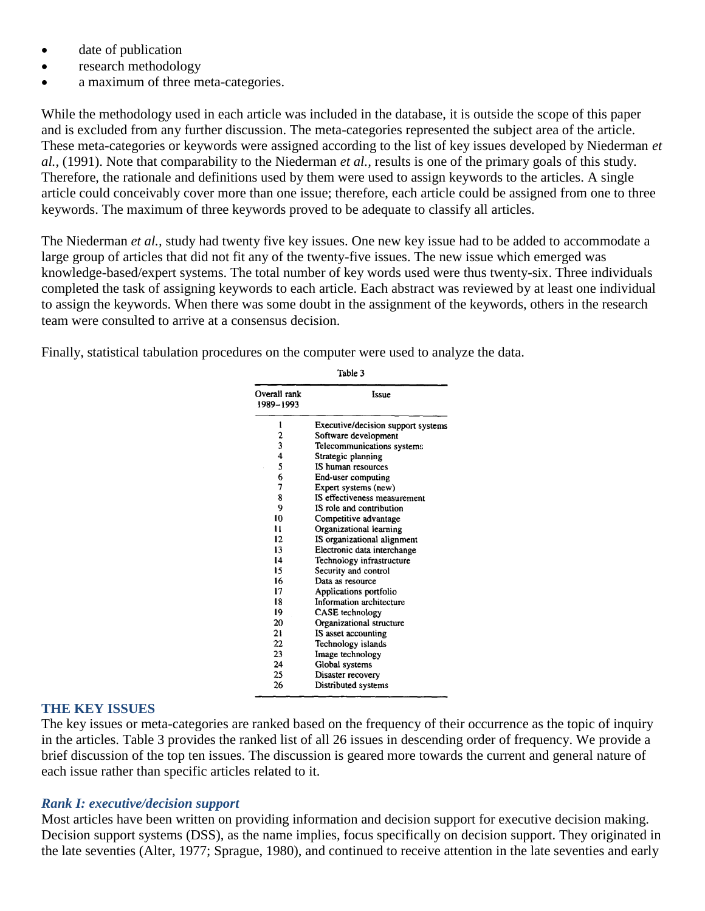- date of publication
- research methodology
- a maximum of three meta-categories.

While the methodology used in each article was included in the database, it is outside the scope of this paper and is excluded from any further discussion. The meta-categories represented the subject area of the article. These meta-categories or keywords were assigned according to the list of key issues developed by Niederman *et al.,* (1991). Note that comparability to the Niederman *et al.,* results is one of the primary goals of this study. Therefore, the rationale and definitions used by them were used to assign keywords to the articles. A single article could conceivably cover more than one issue; therefore, each article could be assigned from one to three keywords. The maximum of three keywords proved to be adequate to classify all articles.

The Niederman *et al.,* study had twenty five key issues. One new key issue had to be added to accommodate a large group of articles that did not fit any of the twenty-five issues. The new issue which emerged was knowledge-based/expert systems. The total number of key words used were thus twenty-six. Three individuals completed the task of assigning keywords to each article. Each abstract was reviewed by at least one individual to assign the keywords. When there was some doubt in the assignment of the keywords, others in the research team were consulted to arrive at a consensus decision.

Table 2

Finally, statistical tabulation procedures on the computer were used to analyze the data.

| ravic J                                         |                                    |  |  |  |
|-------------------------------------------------|------------------------------------|--|--|--|
| Overall rank<br>1989–1993                       | Issue                              |  |  |  |
| l                                               | Executive/decision support systems |  |  |  |
|                                                 | Software development               |  |  |  |
| $\begin{array}{c} 2 \\ 3 \\ 4 \\ 5 \end{array}$ | Telecommunications systems         |  |  |  |
|                                                 | Strategic planning                 |  |  |  |
|                                                 | IS human resources                 |  |  |  |
| 6                                               | End-user computing                 |  |  |  |
| 7                                               | Expert systems (new)               |  |  |  |
| 8                                               | IS effectiveness measurement       |  |  |  |
| 9                                               | IS role and contribution           |  |  |  |
| 10                                              | Competitive advantage              |  |  |  |
| u                                               | Organizational learning            |  |  |  |
| 12                                              | IS organizational alignment        |  |  |  |
| 13                                              | Electronic data interchange        |  |  |  |
| 14                                              | Technology infrastructure          |  |  |  |
| 15                                              | Security and control               |  |  |  |
| 16                                              | Data as resource                   |  |  |  |
| 17                                              | Applications portfolio             |  |  |  |
| 18                                              | Information architecture           |  |  |  |
| 19                                              | CASE technology                    |  |  |  |
| 20                                              | Organizational structure           |  |  |  |
| 21                                              | IS asset accounting                |  |  |  |
| 22                                              | Technology islands                 |  |  |  |
| 23                                              | Image technology                   |  |  |  |
| 24                                              | Global systems                     |  |  |  |
| 25                                              | Disaster recovery                  |  |  |  |
| 26                                              | Distributed systems                |  |  |  |

#### **THE KEY ISSUES**

The key issues or meta-categories are ranked based on the frequency of their occurrence as the topic of inquiry in the articles. Table 3 provides the ranked list of all 26 issues in descending order of frequency. We provide a brief discussion of the top ten issues. The discussion is geared more towards the current and general nature of each issue rather than specific articles related to it.

#### *Rank I: executive/decision support*

Most articles have been written on providing information and decision support for executive decision making. Decision support systems (DSS), as the name implies, focus specifically on decision support. They originated in the late seventies (Alter, 1977; Sprague, 1980), and continued to receive attention in the late seventies and early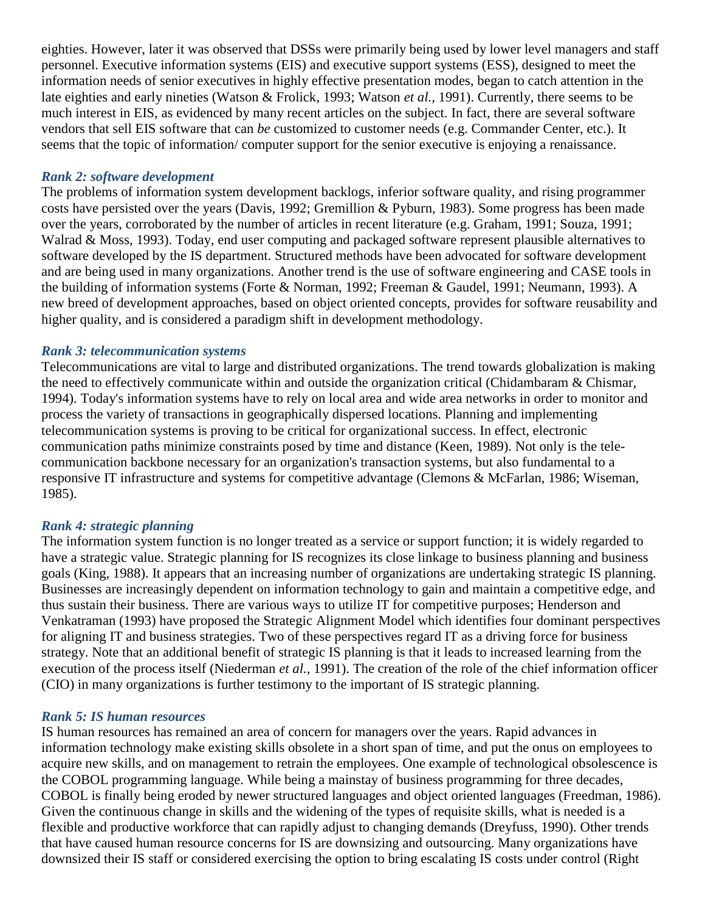eighties. However, later it was observed that DSSs were primarily being used by lower level managers and staff personnel. Executive information systems (EIS) and executive support systems (ESS), designed to meet the information needs of senior executives in highly effective presentation modes, began to catch attention in the late eighties and early nineties (Watson & Frolick, 1993; Watson *et al.,* 1991). Currently, there seems to be much interest in EIS, as evidenced by many recent articles on the subject. In fact, there are several software vendors that sell EIS software that can *be* customized to customer needs (e.g. Commander Center, etc.). It seems that the topic of information/ computer support for the senior executive is enjoying a renaissance.

#### *Rank 2: software development*

The problems of information system development backlogs, inferior software quality, and rising programmer costs have persisted over the years (Davis, 1992; Gremillion & Pyburn, 1983). Some progress has been made over the years, corroborated by the number of articles in recent literature (e.g. Graham, 1991; Souza, 1991; Walrad & Moss, 1993). Today, end user computing and packaged software represent plausible alternatives to software developed by the IS department. Structured methods have been advocated for software development and are being used in many organizations. Another trend is the use of software engineering and CASE tools in the building of information systems (Forte & Norman, 1992; Freeman & Gaudel, 1991; Neumann, 1993). A new breed of development approaches, based on object oriented concepts, provides for software reusability and higher quality, and is considered a paradigm shift in development methodology.

### *Rank 3: telecommunication systems*

Telecommunications are vital to large and distributed organizations. The trend towards globalization is making the need to effectively communicate within and outside the organization critical (Chidambaram & Chismar, 1994). Today's information systems have to rely on local area and wide area networks in order to monitor and process the variety of transactions in geographically dispersed locations. Planning and implementing telecommunication systems is proving to be critical for organizational success. In effect, electronic communication paths minimize constraints posed by time and distance (Keen, 1989). Not only is the telecommunication backbone necessary for an organization's transaction systems, but also fundamental to a responsive IT infrastructure and systems for competitive advantage (Clemons & McFarlan, 1986; Wiseman, 1985).

## *Rank 4: strategic planning*

The information system function is no longer treated as a service or support function; it is widely regarded to have a strategic value. Strategic planning for IS recognizes its close linkage to business planning and business goals (King, 1988). It appears that an increasing number of organizations are undertaking strategic IS planning. Businesses are increasingly dependent on information technology to gain and maintain a competitive edge, and thus sustain their business. There are various ways to utilize IT for competitive purposes; Henderson and Venkatraman (1993) have proposed the Strategic Alignment Model which identifies four dominant perspectives for aligning IT and business strategies. Two of these perspectives regard IT as a driving force for business strategy. Note that an additional benefit of strategic IS planning is that it leads to increased learning from the execution of the process itself (Niederman *et al.,* 1991). The creation of the role of the chief information officer (CIO) in many organizations is further testimony to the important of IS strategic planning.

### *Rank 5: IS human resources*

IS human resources has remained an area of concern for managers over the years. Rapid advances in information technology make existing skills obsolete in a short span of time, and put the onus on employees to acquire new skills, and on management to retrain the employees. One example of technological obsolescence is the COBOL programming language. While being a mainstay of business programming for three decades, COBOL is finally being eroded by newer structured languages and object oriented languages (Freedman, 1986). Given the continuous change in skills and the widening of the types of requisite skills, what is needed is a flexible and productive workforce that can rapidly adjust to changing demands (Dreyfuss, 1990). Other trends that have caused human resource concerns for IS are downsizing and outsourcing. Many organizations have downsized their IS staff or considered exercising the option to bring escalating IS costs under control (Right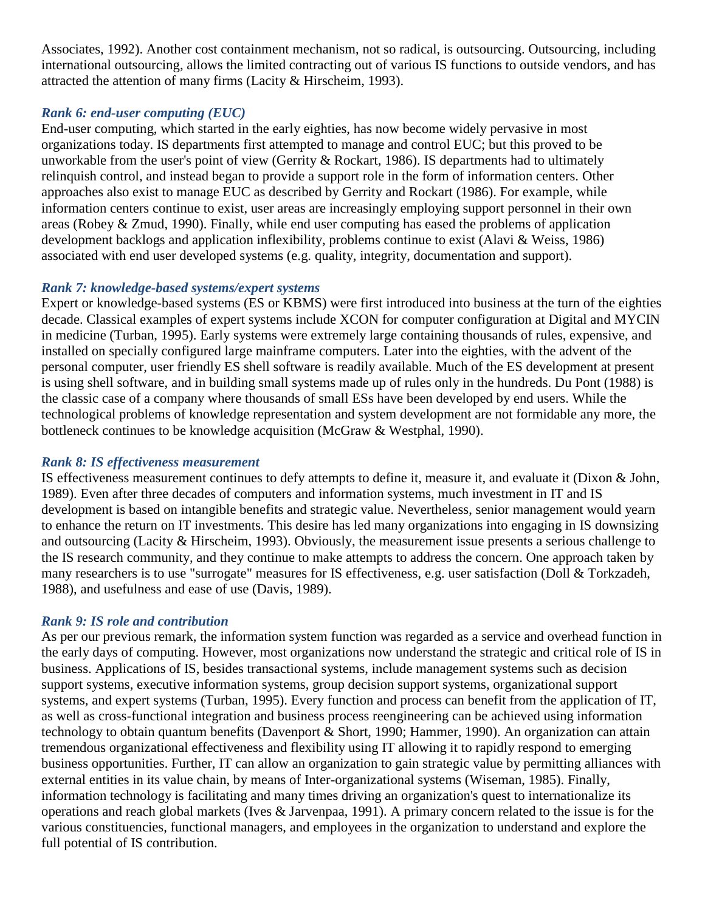Associates, 1992). Another cost containment mechanism, not so radical, is outsourcing. Outsourcing, including international outsourcing, allows the limited contracting out of various IS functions to outside vendors, and has attracted the attention of many firms (Lacity & Hirscheim, 1993).

# *Rank 6: end-user computing (EUC)*

End-user computing, which started in the early eighties, has now become widely pervasive in most organizations today. IS departments first attempted to manage and control EUC; but this proved to be unworkable from the user's point of view (Gerrity & Rockart, 1986). IS departments had to ultimately relinquish control, and instead began to provide a support role in the form of information centers. Other approaches also exist to manage EUC as described by Gerrity and Rockart (1986). For example, while information centers continue to exist, user areas are increasingly employing support personnel in their own areas (Robey & Zmud, 1990). Finally, while end user computing has eased the problems of application development backlogs and application inflexibility, problems continue to exist (Alavi & Weiss, 1986) associated with end user developed systems (e.g. quality, integrity, documentation and support).

## *Rank 7: knowledge-based systems/expert systems*

Expert or knowledge-based systems (ES or KBMS) were first introduced into business at the turn of the eighties decade. Classical examples of expert systems include XCON for computer configuration at Digital and MYCIN in medicine (Turban, 1995). Early systems were extremely large containing thousands of rules, expensive, and installed on specially configured large mainframe computers. Later into the eighties, with the advent of the personal computer, user friendly ES shell software is readily available. Much of the ES development at present is using shell software, and in building small systems made up of rules only in the hundreds. Du Pont (1988) is the classic case of a company where thousands of small ESs have been developed by end users. While the technological problems of knowledge representation and system development are not formidable any more, the bottleneck continues to be knowledge acquisition (McGraw & Westphal, 1990).

# *Rank 8: IS effectiveness measurement*

IS effectiveness measurement continues to defy attempts to define it, measure it, and evaluate it (Dixon & John, 1989). Even after three decades of computers and information systems, much investment in IT and IS development is based on intangible benefits and strategic value. Nevertheless, senior management would yearn to enhance the return on IT investments. This desire has led many organizations into engaging in IS downsizing and outsourcing (Lacity & Hirscheim, 1993). Obviously, the measurement issue presents a serious challenge to the IS research community, and they continue to make attempts to address the concern. One approach taken by many researchers is to use "surrogate" measures for IS effectiveness, e.g. user satisfaction (Doll & Torkzadeh, 1988), and usefulness and ease of use (Davis, 1989).

# *Rank 9: IS role and contribution*

As per our previous remark, the information system function was regarded as a service and overhead function in the early days of computing. However, most organizations now understand the strategic and critical role of IS in business. Applications of IS, besides transactional systems, include management systems such as decision support systems, executive information systems, group decision support systems, organizational support systems, and expert systems (Turban, 1995). Every function and process can benefit from the application of IT, as well as cross-functional integration and business process reengineering can be achieved using information technology to obtain quantum benefits (Davenport & Short, 1990; Hammer, 1990). An organization can attain tremendous organizational effectiveness and flexibility using IT allowing it to rapidly respond to emerging business opportunities. Further, IT can allow an organization to gain strategic value by permitting alliances with external entities in its value chain, by means of Inter-organizational systems (Wiseman, 1985). Finally, information technology is facilitating and many times driving an organization's quest to internationalize its operations and reach global markets (Ives & Jarvenpaa, 1991). A primary concern related to the issue is for the various constituencies, functional managers, and employees in the organization to understand and explore the full potential of IS contribution.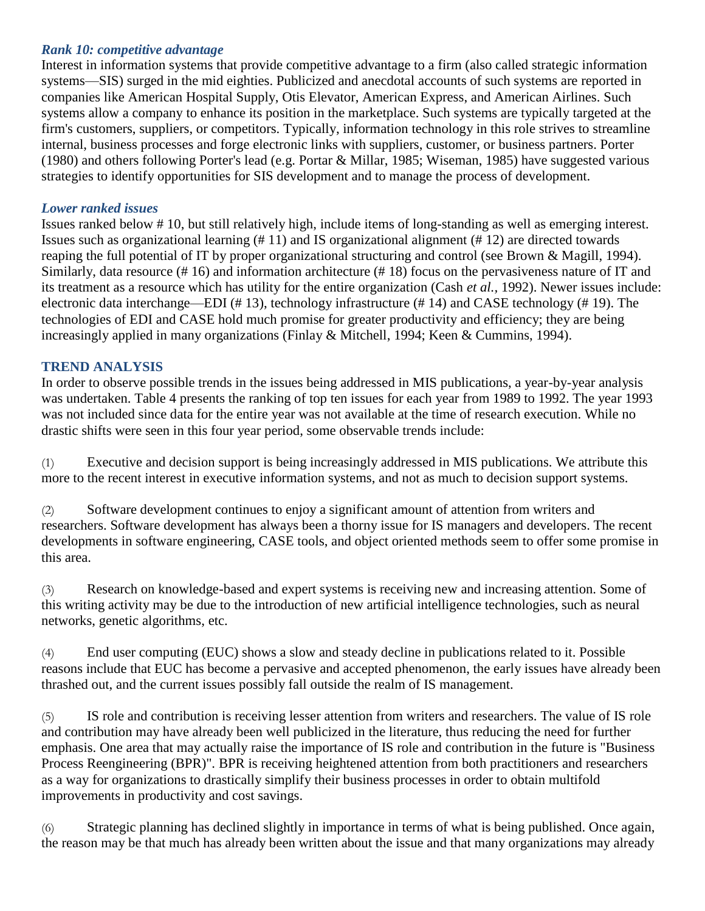### *Rank 10: competitive advantage*

Interest in information systems that provide competitive advantage to a firm (also called strategic information systems—SIS) surged in the mid eighties. Publicized and anecdotal accounts of such systems are reported in companies like American Hospital Supply, Otis Elevator, American Express, and American Airlines. Such systems allow a company to enhance its position in the marketplace. Such systems are typically targeted at the firm's customers, suppliers, or competitors. Typically, information technology in this role strives to streamline internal, business processes and forge electronic links with suppliers, customer, or business partners. Porter (1980) and others following Porter's lead (e.g. Portar & Millar, 1985; Wiseman, 1985) have suggested various strategies to identify opportunities for SIS development and to manage the process of development.

#### *Lower ranked issues*

Issues ranked below # 10, but still relatively high, include items of long-standing as well as emerging interest. Issues such as organizational learning (# 11) and IS organizational alignment (# 12) are directed towards reaping the full potential of IT by proper organizational structuring and control (see Brown & Magill, 1994). Similarly, data resource (# 16) and information architecture (# 18) focus on the pervasiveness nature of IT and its treatment as a resource which has utility for the entire organization (Cash *et al.,* 1992). Newer issues include: electronic data interchange—EDI (# 13), technology infrastructure (# 14) and CASE technology (# 19). The technologies of EDI and CASE hold much promise for greater productivity and efficiency; they are being increasingly applied in many organizations (Finlay & Mitchell, 1994; Keen & Cummins, 1994).

### **TREND ANALYSIS**

In order to observe possible trends in the issues being addressed in MIS publications, a year-by-year analysis was undertaken. Table 4 presents the ranking of top ten issues for each year from 1989 to 1992. The year 1993 was not included since data for the entire year was not available at the time of research execution. While no drastic shifts were seen in this four year period, some observable trends include:

(1) Executive and decision support is being increasingly addressed in MIS publications. We attribute this more to the recent interest in executive information systems, and not as much to decision support systems.

(2) Software development continues to enjoy a significant amount of attention from writers and researchers. Software development has always been a thorny issue for IS managers and developers. The recent developments in software engineering, CASE tools, and object oriented methods seem to offer some promise in this area.

(3) Research on knowledge-based and expert systems is receiving new and increasing attention. Some of this writing activity may be due to the introduction of new artificial intelligence technologies, such as neural networks, genetic algorithms, etc.

(4) End user computing (EUC) shows a slow and steady decline in publications related to it. Possible reasons include that EUC has become a pervasive and accepted phenomenon, the early issues have already been thrashed out, and the current issues possibly fall outside the realm of IS management.

(5) IS role and contribution is receiving lesser attention from writers and researchers. The value of IS role and contribution may have already been well publicized in the literature, thus reducing the need for further emphasis. One area that may actually raise the importance of IS role and contribution in the future is "Business Process Reengineering (BPR)". BPR is receiving heightened attention from both practitioners and researchers as a way for organizations to drastically simplify their business processes in order to obtain multifold improvements in productivity and cost savings.

(6) Strategic planning has declined slightly in importance in terms of what is being published. Once again, the reason may be that much has already been written about the issue and that many organizations may already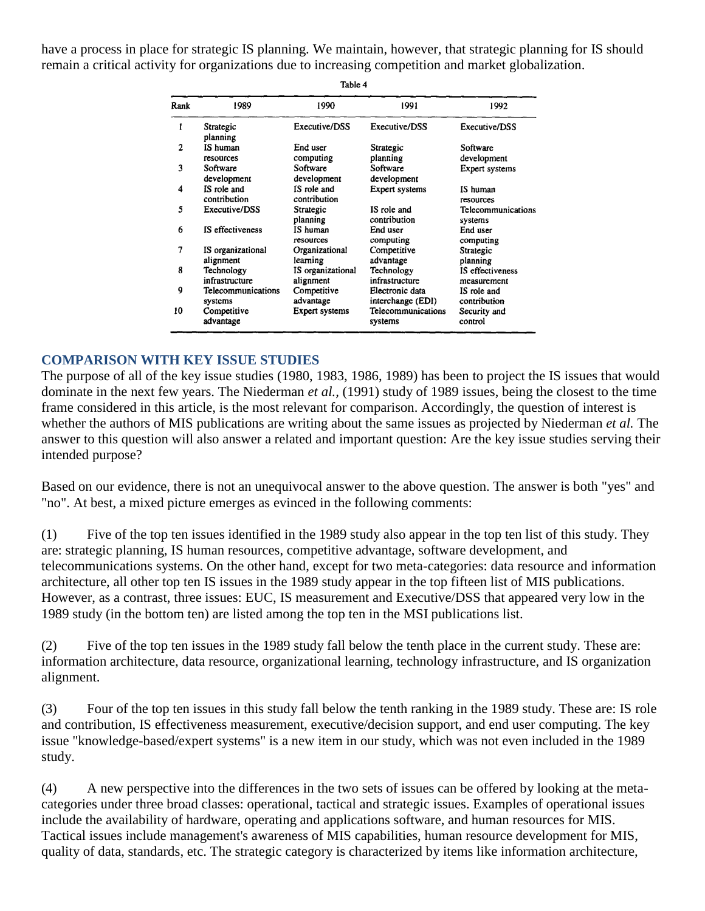have a process in place for strategic IS planning. We maintain, however, that strategic planning for IS should remain a critical activity for organizations due to increasing competition and market globalization.

| Rank | 1989                           | 1990                           | 1991                                 | 1992                            |
|------|--------------------------------|--------------------------------|--------------------------------------|---------------------------------|
|      | Strategic<br>planning          | Executive/DSS                  | Executive/DSS                        | Executive/DSS                   |
| 2    | IS human<br>resources          | End user<br>computing          | Strategic<br>planning                | Software<br>development         |
| 3    | Software<br>development        | Software<br>development        | Software<br>development              | Expert systems                  |
| 4    | IS role and<br>contribution    | IS role and<br>contribution    | Expert systems                       | IS human<br>resources           |
| 5    | Executive/DSS                  | Strategic<br>planning          | IS role and<br>contribution          | Telecommunications<br>systems   |
| 6    | IS effectiveness               | IS human<br>resources          | End user<br>computing                | End user<br>computing           |
| 7    | IS organizational<br>alignment | Organizational<br>learning     | Competitive<br>advantage             | Strategic<br>planning           |
| 8    | Technology<br>infrastructure   | IS organizational<br>alignment | Technology<br>infrastructure         | IS effectiveness<br>measurement |
| 9    | Telecommunications<br>systems  | Competitive<br>advantage       | Electronic data<br>interchange (EDI) | IS role and<br>contribution     |
| 10   | Competitive<br>advantage       | Expert systems                 | Telecommunications<br>systems        | Security and<br>control         |

**COMPARISON WITH KEY ISSUE STUDIES**

The purpose of all of the key issue studies (1980, 1983, 1986, 1989) has been to project the IS issues that would dominate in the next few years. The Niederman *et al.,* (1991) study of 1989 issues, being the closest to the time frame considered in this article, is the most relevant for comparison. Accordingly, the question of interest is whether the authors of MIS publications are writing about the same issues as projected by Niederman *et al.* The answer to this question will also answer a related and important question: Are the key issue studies serving their intended purpose?

Based on our evidence, there is not an unequivocal answer to the above question. The answer is both "yes" and "no". At best, a mixed picture emerges as evinced in the following comments:

(1) Five of the top ten issues identified in the 1989 study also appear in the top ten list of this study. They are: strategic planning, IS human resources, competitive advantage, software development, and telecommunications systems. On the other hand, except for two meta-categories: data resource and information architecture, all other top ten IS issues in the 1989 study appear in the top fifteen list of MIS publications. However, as a contrast, three issues: EUC, IS measurement and Executive/DSS that appeared very low in the 1989 study (in the bottom ten) are listed among the top ten in the MSI publications list.

(2) Five of the top ten issues in the 1989 study fall below the tenth place in the current study. These are: information architecture, data resource, organizational learning, technology infrastructure, and IS organization alignment.

(3) Four of the top ten issues in this study fall below the tenth ranking in the 1989 study. These are: IS role and contribution, IS effectiveness measurement, executive/decision support, and end user computing. The key issue "knowledge-based/expert systems" is a new item in our study, which was not even included in the 1989 study.

(4) A new perspective into the differences in the two sets of issues can be offered by looking at the metacategories under three broad classes: operational, tactical and strategic issues. Examples of operational issues include the availability of hardware, operating and applications software, and human resources for MIS. Tactical issues include management's awareness of MIS capabilities, human resource development for MIS, quality of data, standards, etc. The strategic category is characterized by items like information architecture,

Table 4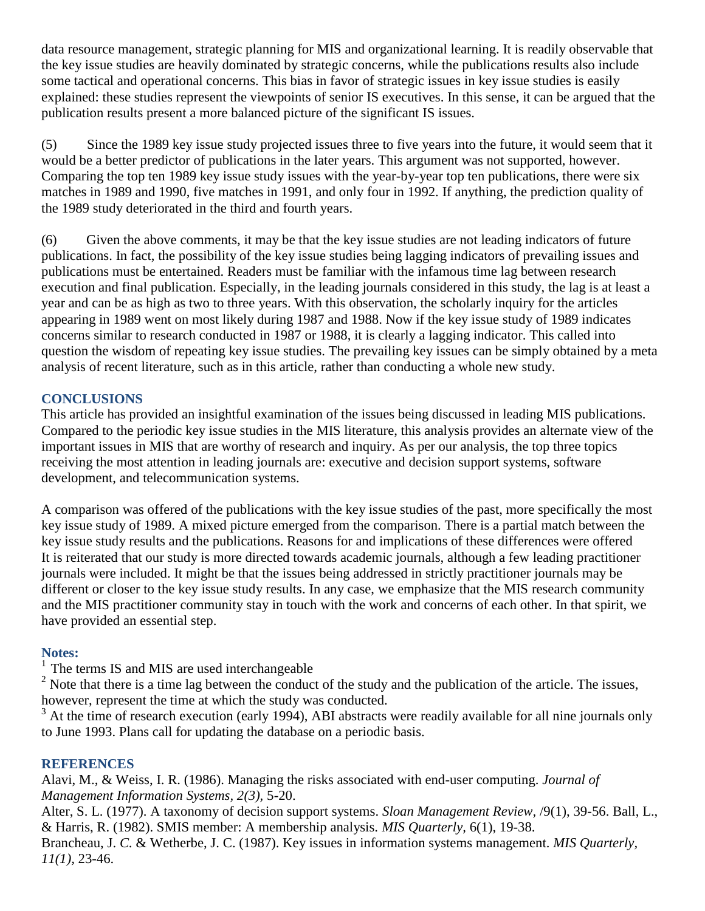data resource management, strategic planning for MIS and organizational learning. It is readily observable that the key issue studies are heavily dominated by strategic concerns, while the publications results also include some tactical and operational concerns. This bias in favor of strategic issues in key issue studies is easily explained: these studies represent the viewpoints of senior IS executives. In this sense, it can be argued that the publication results present a more balanced picture of the significant IS issues.

(5) Since the 1989 key issue study projected issues three to five years into the future, it would seem that it would be a better predictor of publications in the later years. This argument was not supported, however. Comparing the top ten 1989 key issue study issues with the year-by-year top ten publications, there were six matches in 1989 and 1990, five matches in 1991, and only four in 1992. If anything, the prediction quality of the 1989 study deteriorated in the third and fourth years.

(6) Given the above comments, it may be that the key issue studies are not leading indicators of future publications. In fact, the possibility of the key issue studies being lagging indicators of prevailing issues and publications must be entertained. Readers must be familiar with the infamous time lag between research execution and final publication. Especially, in the leading journals considered in this study, the lag is at least a year and can be as high as two to three years. With this observation, the scholarly inquiry for the articles appearing in 1989 went on most likely during 1987 and 1988. Now if the key issue study of 1989 indicates concerns similar to research conducted in 1987 or 1988, it is clearly a lagging indicator. This called into question the wisdom of repeating key issue studies. The prevailing key issues can be simply obtained by a meta analysis of recent literature, such as in this article, rather than conducting a whole new study.

# **CONCLUSIONS**

This article has provided an insightful examination of the issues being discussed in leading MIS publications. Compared to the periodic key issue studies in the MIS literature, this analysis provides an alternate view of the important issues in MIS that are worthy of research and inquiry. As per our analysis, the top three topics receiving the most attention in leading journals are: executive and decision support systems, software development, and telecommunication systems.

A comparison was offered of the publications with the key issue studies of the past, more specifically the most key issue study of 1989. A mixed picture emerged from the comparison. There is a partial match between the key issue study results and the publications. Reasons for and implications of these differences were offered It is reiterated that our study is more directed towards academic journals, although a few leading practitioner journals were included. It might be that the issues being addressed in strictly practitioner journals may be different or closer to the key issue study results. In any case, we emphasize that the MIS research community and the MIS practitioner community stay in touch with the work and concerns of each other. In that spirit, we have provided an essential step.

## **Notes:**

 $<sup>1</sup>$  The terms IS and MIS are used interchangeable</sup>

 $2$  Note that there is a time lag between the conduct of the study and the publication of the article. The issues, however, represent the time at which the study was conducted.

 $3<sup>3</sup>$  At the time of research execution (early 1994), ABI abstracts were readily available for all nine journals only to June 1993. Plans call for updating the database on a periodic basis.

## **REFERENCES**

Alavi, M., & Weiss, I. R. (1986). Managing the risks associated with end-user computing. *Journal of Management Information Systems, 2(3),* 5-20.

Alter, S. L. (1977). A taxonomy of decision support systems. *Sloan Management Review,* /9(1), 39-56. Ball, L., & Harris, R. (1982). SMIS member: A membership analysis. *MIS Quarterly,* 6(1), 19-38.

Brancheau, J. *C.* & Wetherbe, J. C. (1987). Key issues in information systems management. *MIS Quarterly, 11(1),* 23-46.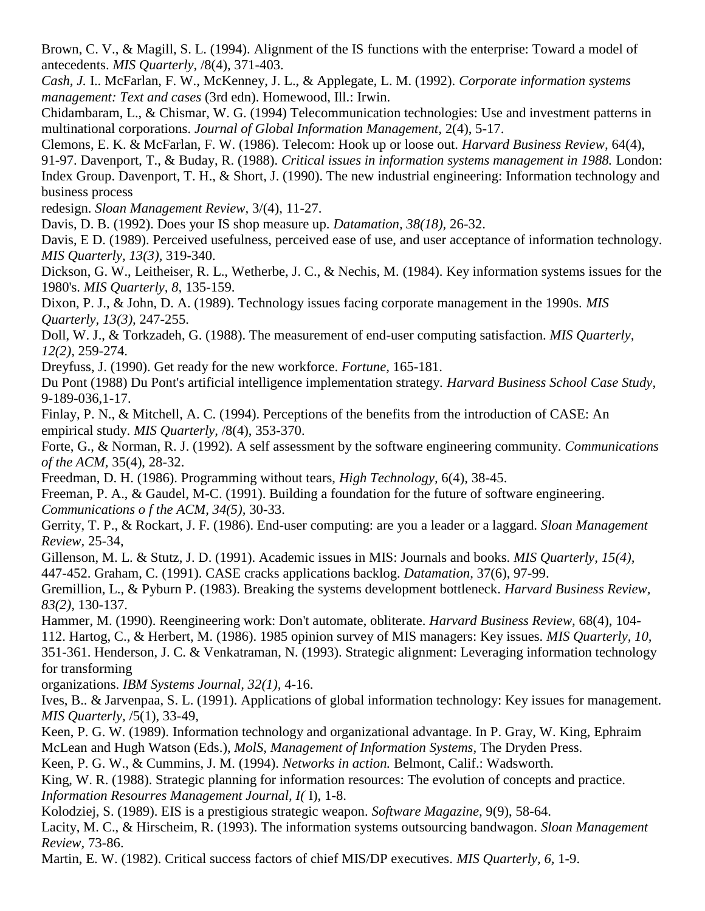Brown, C. V., & Magill, S. L. (1994). Alignment of the IS functions with the enterprise: Toward a model of antecedents. *MIS Quarterly,* /8(4), 371-403.

*Cash, J.* I.. McFarlan, F. W., McKenney, J. L., & Applegate, L. M. (1992). *Corporate information systems management: Text and cases* (3rd edn). Homewood, Ill.: Irwin.

Chidambaram, L., & Chismar, W. G. (1994) Telecommunication technologies: Use and investment patterns in multinational corporations. *Journal of Global Information Management,* 2(4), 5-17.

Clemons, E. K. & McFarlan, F. W. (1986). Telecom: Hook up or loose out. *Harvard Business Review,* 64(4), 91-97. Davenport, T., & Buday, R. (1988). *Critical issues in information systems management in 1988.* London: Index Group. Davenport, T. H., & Short, J. (1990). The new industrial engineering: Information technology and business process

redesign. *Sloan Management Review,* 3/(4), 11-27.

Davis, D. B. (1992). Does your IS shop measure up. *Datamation, 38(18),* 26-32.

Davis, E D. (1989). Perceived usefulness, perceived ease of use, and user acceptance of information technology. *MIS Quarterly, 13(3),* 319-340.

Dickson, G. W., Leitheiser, R. L., Wetherbe, J. C., & Nechis, M. (1984). Key information systems issues for the 1980's. *MIS Quarterly, 8,* 135-159.

Dixon, P. J., & John, D. A. (1989). Technology issues facing corporate management in the 1990s. *MIS Quarterly, 13(3),* 247-255.

Doll, W. J., & Torkzadeh, G. (1988). The measurement of end-user computing satisfaction. *MIS Quarterly, 12(2),* 259-274.

Dreyfuss, J. (1990). Get ready for the new workforce. *Fortune,* 165-181.

Du Pont (1988) Du Pont's artificial intelligence implementation strategy. *Harvard Business School Case Study,*  9-189-036,1-17.

Finlay, P. N., & Mitchell, A. C. (1994). Perceptions of the benefits from the introduction of CASE: An empirical study. *MIS Quarterly,* /8(4), 353-370.

Forte, G., & Norman, R. J. (1992). A self assessment by the software engineering community. *Communications of the ACM,* 35(4), 28-32.

Freedman, D. H. (1986). Programming without tears, *High Technology,* 6(4), 38-45.

Freeman, P. A., & Gaudel, M-C. (1991). Building a foundation for the future of software engineering. *Communications o f the ACM, 34(5),* 30-33.

Gerrity, T. P., & Rockart, J. F. (1986). End-user computing: are you a leader or a laggard. *Sloan Management Review,* 25-34,

Gillenson, M. L. & Stutz, J. D. (1991). Academic issues in MIS: Journals and books. *MIS Quarterly, 15(4),*  447-452. Graham, C. (1991). CASE cracks applications backlog. *Datamation,* 37(6), 97-99.

Gremillion, L., & Pyburn P. (1983). Breaking the systems development bottleneck. *Harvard Business Review, 83(2),* 130-137.

Hammer, M. (1990). Reengineering work: Don't automate, obliterate. *Harvard Business Review,* 68(4), 104- 112. Hartog, C., & Herbert, M. (1986). 1985 opinion survey of MIS managers: Key issues. *MIS Quarterly, 10,*  351-361. Henderson, J. C. & Venkatraman, N. (1993). Strategic alignment: Leveraging information technology

for transforming

organizations. *IBM Systems Journal, 32(1),* 4-16.

Ives, B.. & Jarvenpaa, S. L. (1991). Applications of global information technology: Key issues for management. *MIS Quarterly,* /5(1), 33-49,

Keen, P. G. W. (1989). Information technology and organizational advantage. In P. Gray, W. King, Ephraim McLean and Hugh Watson (Eds.), *MolS, Management of Information Systems,* The Dryden Press.

Keen, P. G. W., & Cummins, J. M. (1994). *Networks in action.* Belmont, Calif.: Wadsworth.

King, W. R. (1988). Strategic planning for information resources: The evolution of concepts and practice. *Information Resourres Management Journal, I(* I), 1-8.

Kolodziej, S. (1989). EIS is a prestigious strategic weapon. *Software Magazine,* 9(9), 58-64.

Lacity, M. C., & Hirscheim, R. (1993). The information systems outsourcing bandwagon. *Sloan Management Review,* 73-86.

Martin, E. W. (1982). Critical success factors of chief MIS/DP executives. *MIS Quarterly, 6,* 1-9.